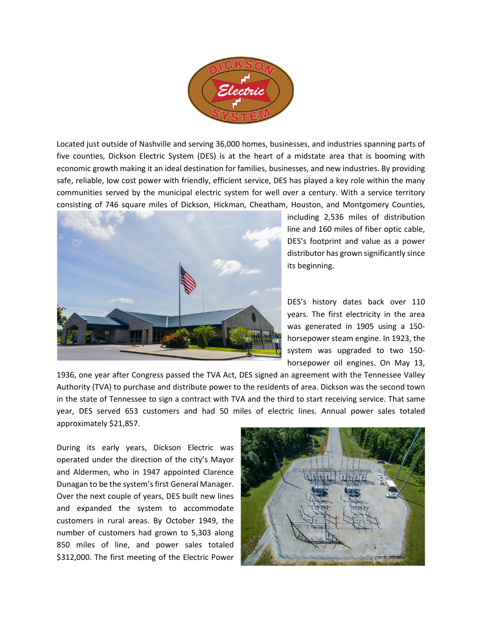

Located just outside of Nashville and serving 36,000 homes, businesses, and industries spanning parts of five counties, Dickson Electric System (DES) is at the heart of a midstate area that is booming with economic growth making it an ideal destination for families, businesses, and new industries. By providing safe, reliable, low cost power with friendly, efficient service, DES has played a key role within the many communities served by the municipal electric system for well over a century. With a service territory consisting of 746 square miles of Dickson, Hickman, Cheatham, Houston, and Montgomery Counties,



including 2,536 miles of distribution line and 160 miles of fiber optic cable, DES's footprint and value as a power distributor has grown significantly since its beginning.

DES's history dates back over 110 years. The first electricity in the area was generated in 1905 using a 150 horsepower steam engine. In 1923, the system was upgraded to two 150 horsepower oil engines. On May 13,

1936, one year after Congress passed the TVA Act, DES signed an agreement with the Tennessee Valley Authority (TVA) to purchase and distribute power to the residents of area. Dickson was the second town in the state of Tennessee to sign a contract with TVA and the third to start receiving service. That same year, DES served 653 customers and had 50 miles of electric lines. Annual power sales totaled approximately \$21,857.

During its early years, Dickson Electric was operated under the direction of the city's Mayor and Aldermen, who in 1947 appointed Clarence Dunagan to be the system's first General Manager. Over the next couple of years, DES built new lines and expanded the system to accommodate customers in rural areas. By October 1949, the number of customers had grown to 5,303 along 850 miles of line, and power sales totaled \$312,000. The first meeting of the Electric Power

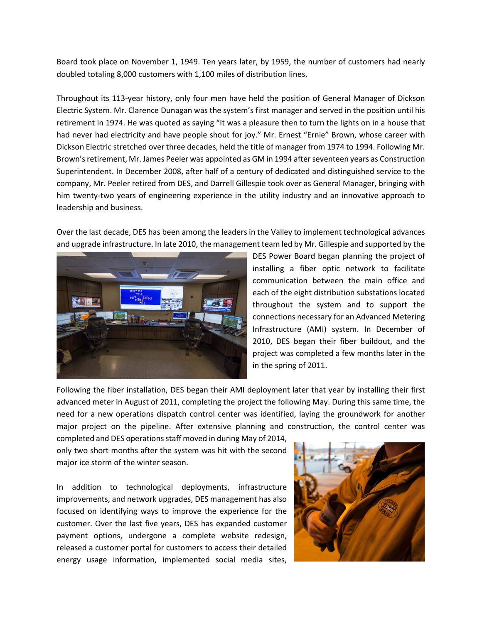Board took place on November 1, 1949. Ten years later, by 1959, the number of customers had nearly doubled totaling 8,000 customers with 1,100 miles of distribution lines.

Throughout its 113-year history, only four men have held the position of General Manager of Dickson Electric System. Mr. Clarence Dunagan was the system's first manager and served in the position until his retirement in 1974. He was quoted as saying "It was a pleasure then to turn the lights on in a house that had never had electricity and have people shout for joy." Mr. Ernest "Ernie" Brown, whose career with Dickson Electric stretched over three decades, held the title of manager from 1974 to 1994. Following Mr. Brown's retirement, Mr. James Peeler was appointed as GM in 1994 after seventeen years as Construction Superintendent. In December 2008, after half of a century of dedicated and distinguished service to the company, Mr. Peeler retired from DES, and Darrell Gillespie took over as General Manager, bringing with him twenty-two years of engineering experience in the utility industry and an innovative approach to leadership and business.

Over the last decade, DES has been among the leaders in the Valley to implement technological advances and upgrade infrastructure. In late 2010, the management team led by Mr. Gillespie and supported by the



DES Power Board began planning the project of installing a fiber optic network to facilitate communication between the main office and each of the eight distribution substations located throughout the system and to support the connections necessary for an Advanced Metering Infrastructure (AMI) system. In December of 2010, DES began their fiber buildout, and the project was completed a few months later in the in the spring of 2011.

Following the fiber installation, DES began their AMI deployment later that year by installing their first advanced meter in August of 2011, completing the project the following May. During this same time, the need for a new operations dispatch control center was identified, laying the groundwork for another major project on the pipeline. After extensive planning and construction, the control center was

completed and DES operations staff moved in during May of 2014, only two short months after the system was hit with the second major ice storm of the winter season.

In addition to technological deployments, infrastructure improvements, and network upgrades, DES management has also focused on identifying ways to improve the experience for the customer. Over the last five years, DES has expanded customer payment options, undergone a complete website redesign, released a customer portal for customers to access their detailed energy usage information, implemented social media sites,

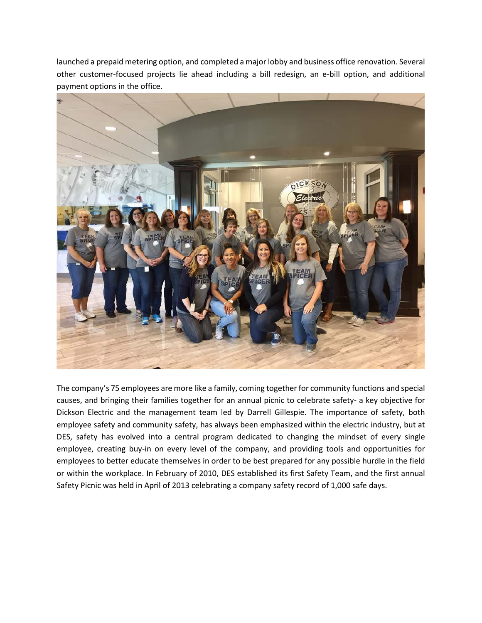launched a prepaid metering option, and completed a major lobby and business office renovation. Several other customer-focused projects lie ahead including a bill redesign, an e-bill option, and additional payment options in the office.



The company's 75 employees are more like a family, coming together for community functions and special causes, and bringing their families together for an annual picnic to celebrate safety- a key objective for Dickson Electric and the management team led by Darrell Gillespie. The importance of safety, both employee safety and community safety, has always been emphasized within the electric industry, but at DES, safety has evolved into a central program dedicated to changing the mindset of every single employee, creating buy-in on every level of the company, and providing tools and opportunities for employees to better educate themselves in order to be best prepared for any possible hurdle in the field or within the workplace. In February of 2010, DES established its first Safety Team, and the first annual Safety Picnic was held in April of 2013 celebrating a company safety record of 1,000 safe days.